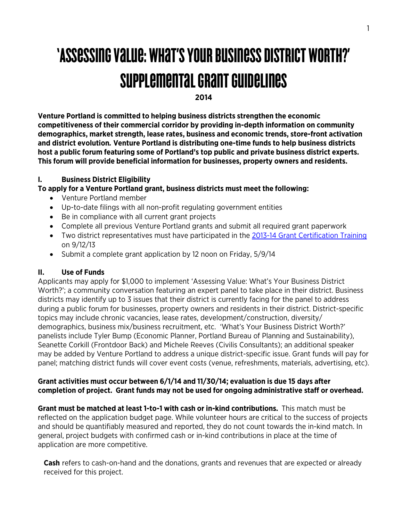# 'Assessing Value: What's Your Business District Worth?' Supplemental Grant Guidelines

**2014**

**Venture Portland is committed to helping business districts strengthen the economic competitiveness of their commercial corridor by providing in-depth information on community demographics, market strength, lease rates, business and economic trends, store-front activation and district evolution***.* **Venture Portland is distributing one-time funds to help business districts host a public forum featuring some of Portland's top public and private business district experts. This forum will provide beneficial information for businesses, property owners and residents.** 

## **I. Business District Eligibility**

## **To apply for a Venture Portland grant, business districts must meet the following:**

- Venture Portland member
- Up-to-date filings with all non-profit regulating government entities
- Be in compliance with all current grant projects
- Complete all previous Venture Portland grants and submit all required grant paperwork
- Two district representatives must have participated in the 2013-14 [Grant Certification Training](http://ventureportland.org/venture-out/grants-certification-training-09-12-2013/) on 9/12/13
- Submit a complete grant application by 12 noon on Friday, 5/9/14

#### **II. Use of Funds**

Applicants may apply for \$1,000 to implement 'Assessing Value: What's Your Business District Worth?'; a community conversation featuring an expert panel to take place in their district. Business districts may identify up to 3 issues that their district is currently facing for the panel to address during a public forum for businesses, property owners and residents in their district. District-specific topics may include chronic vacancies, lease rates, development/construction, diversity/ demographics, business mix/business recruitment, etc. 'What's Your Business District Worth?' panelists include Tyler Bump (Economic Planner, Portland Bureau of Planning and Sustainability), Seanette Corkill (Frontdoor Back) and Michele Reeves (Civilis Consultants); an additional speaker may be added by Venture Portland to address a unique district-specific issue. Grant funds will pay for panel; matching district funds will cover event costs (venue, refreshments, materials, advertising, etc).

#### **Grant activities must occur between 6/1/14 and 11/30/14; evaluation is due 15 days after completion of project. Grant funds may not be used for ongoing administrative staff or overhead.**

**Grant must be matched at least 1-to-1 with cash or in-kind contributions.** This match must be reflected on the application budget page. While volunteer hours are critical to the success of projects and should be quantifiably measured and reported, they do not count towards the in-kind match. In general, project budgets with confirmed cash or in-kind contributions in place at the time of application are more competitive.

**Cash** refers to cash-on-hand and the donations, grants and revenues that are expected or already received for this project.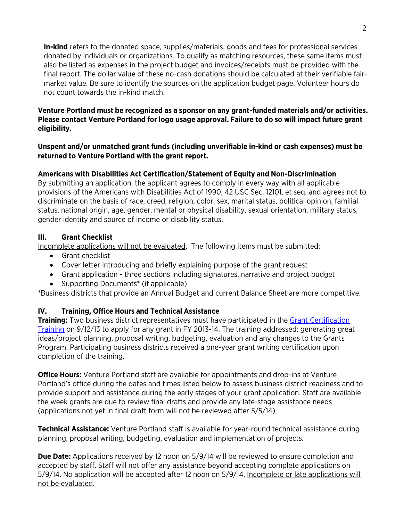**In-kind** refers to the donated space, supplies/materials, goods and fees for professional services donated by individuals or organizations. To qualify as matching resources, these same items must also be listed as expenses in the project budget and invoices/receipts must be provided with the final report. The dollar value of these no-cash donations should be calculated at their verifiable fairmarket value. Be sure to identify the sources on the application budget page. Volunteer hours do not count towards the in-kind match.

## **Venture Portland must be recognized as a sponsor on any grant-funded materials and/or activities. Please contact Venture Portland for logo usage approval. Failure to do so will impact future grant eligibility.**

#### **Unspent and/or unmatched grant funds (including unverifiable in-kind or cash expenses) must be returned to Venture Portland with the grant report.**

# **Americans with Disabilities Act Certification/Statement of Equity and Non-Discrimination**

By submitting an application, the applicant agrees to comply in every way with all applicable provisions of the Americans with Disabilities Act of 1990, 42 USC Sec. 12101, et seq. and agrees not to discriminate on the basis of race, creed, religion, color, sex, marital status, political opinion, familial status, national origin, age, gender, mental or physical disability, sexual orientation, military status, gender identity and source of income or disability status.

## **III. Grant Checklist**

Incomplete applications will not be evaluated. The following items must be submitted:

- Grant checklist
- Cover letter introducing and briefly explaining purpose of the grant request
- Grant application three sections including signatures, narrative and project budget
- Supporting Documents\* (if applicable)

\*Business districts that provide an Annual Budget and current Balance Sheet are more competitive.

# **IV. Training, Office Hours and Technical Assistance**

**Training:** Two business district representatives must have participated in the **Grant Certification** [Training](http://ventureportland.org/venture-out/grants-certification-training-09-12-2013/) on 9/12/13 to apply for any grant in FY 2013-14. The training addressed: generating great ideas/project planning, proposal writing, budgeting, evaluation and any changes to the Grants Program. Participating business districts received a one-year grant writing certification upon completion of the training.

**Office Hours:** Venture Portland staff are available for appointments and drop-ins at Venture Portland's office during the dates and times listed below to assess business district readiness and to provide support and assistance during the early stages of your grant application. Staff are available the week grants are due to review final drafts and provide any late-stage assistance needs (applications not yet in final draft form will not be reviewed after 5/5/14).

**Technical Assistance:** Venture Portland staff is available for year-round technical assistance during planning, proposal writing, budgeting, evaluation and implementation of projects.

**Due Date:** Applications received by 12 noon on 5/9/14 will be reviewed to ensure completion and accepted by staff. Staff will not offer any assistance beyond accepting complete applications on 5/9/14. No application will be accepted after 12 noon on 5/9/14. Incomplete or late applications will not be evaluated.